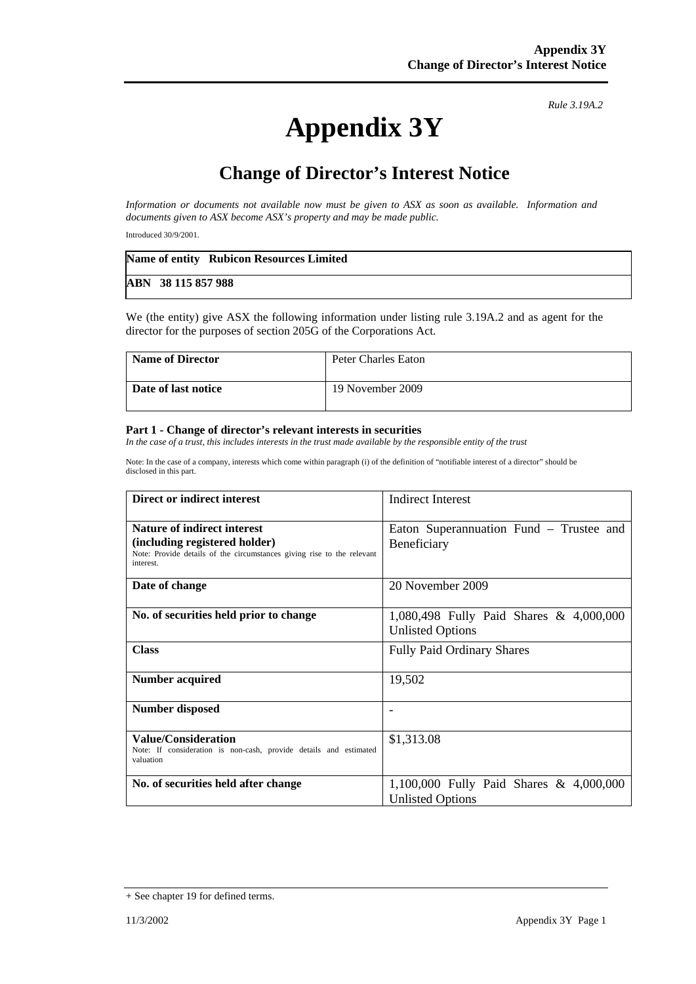## **Appendix 3Y**

*Rule 3.19A.2*

## **Change of Director's Interest Notice**

*Information or documents not available now must be given to ASX as soon as available. Information and documents given to ASX become ASX's property and may be made public.* 

Introduced 30/9/2001.

|                    | Name of entity Rubicon Resources Limited |
|--------------------|------------------------------------------|
| ABN 38 115 857 988 |                                          |

We (the entity) give ASX the following information under listing rule 3.19A.2 and as agent for the director for the purposes of section 205G of the Corporations Act.

| <b>Name of Director</b> | Peter Charles Eaton |
|-------------------------|---------------------|
| Date of last notice     | 19 November 2009    |

## **Part 1 - Change of director's relevant interests in securities**

In the case of a trust, this includes interests in the trust made available by the responsible entity of the trust

Note: In the case of a company, interests which come within paragraph (i) of the definition of "notifiable interest of a director" should be disclosed in this part.

| Direct or indirect interest                                                                                                                                | <b>Indirect Interest</b>                                           |
|------------------------------------------------------------------------------------------------------------------------------------------------------------|--------------------------------------------------------------------|
| <b>Nature of indirect interest</b><br>(including registered holder)<br>Note: Provide details of the circumstances giving rise to the relevant<br>interest. | Eaton Superannuation Fund – Trustee and<br>Beneficiary             |
| Date of change                                                                                                                                             | 20 November 2009                                                   |
| No. of securities held prior to change                                                                                                                     | 1,080,498 Fully Paid Shares & 4,000,000<br><b>Unlisted Options</b> |
| <b>Class</b>                                                                                                                                               | <b>Fully Paid Ordinary Shares</b>                                  |
| <b>Number acquired</b>                                                                                                                                     | 19,502                                                             |
| <b>Number disposed</b>                                                                                                                                     |                                                                    |
| Value/Consideration<br>Note: If consideration is non-cash, provide details and estimated<br>valuation                                                      | \$1,313.08                                                         |
| No. of securities held after change                                                                                                                        | 1,100,000 Fully Paid Shares & 4,000,000<br><b>Unlisted Options</b> |

<sup>+</sup> See chapter 19 for defined terms.